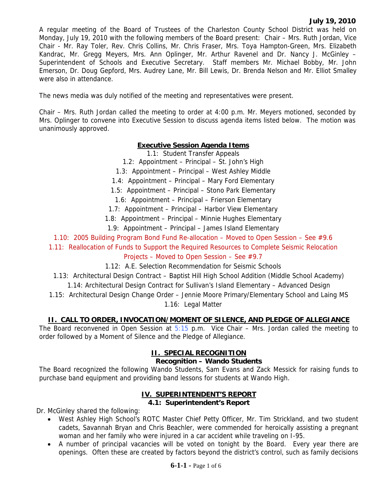A regular meeting of the Board of Trustees of the Charleston County School District was held on Monday, July 19, 2010 with the following members of the Board present: Chair – Mrs. Ruth Jordan, Vice Chair - Mr. Ray Toler, Rev. Chris Collins, Mr. Chris Fraser, Mrs. Toya Hampton-Green, Mrs. Elizabeth Kandrac, Mr. Gregg Meyers, Mrs. Ann Oplinger, Mr. Arthur Ravenel and Dr. Nancy J. McGinley – Superintendent of Schools and Executive Secretary. Staff members Mr. Michael Bobby, Mr. John Emerson, Dr. Doug Gepford, Mrs. Audrey Lane, Mr. Bill Lewis, Dr. Brenda Nelson and Mr. Elliot Smalley were also in attendance.

The news media was duly notified of the meeting and representatives were present.

Chair – Mrs. Ruth Jordan called the meeting to order at 4:00 p.m. Mr. Meyers motioned, seconded by Mrs. Oplinger to convene into Executive Session to discuss agenda items listed below. The motion was unanimously approved.

## **Executive Session Agenda Items**

1.1: Student Transfer Appeals

- 1.2: Appointment Principal St. John's High
- 1.3: Appointment Principal West Ashley Middle
- 1.4: Appointment Principal Mary Ford Elementary
- 1.5: Appointment Principal Stono Park Elementary
- 1.6: Appointment Principal Frierson Elementary
- 1.7: Appointment Principal Harbor View Elementary
- 1.8: Appointment Principal Minnie Hughes Elementary
- 1.9: Appointment Principal James Island Elementary
- 1.10: 2005 Building Program Bond Fund Re-allocation Moved to Open Session See #9.6

1.11: Reallocation of Funds to Support the Required Resources to Complete Seismic Relocation

## Projects – Moved to Open Session – See #9.7

- 1.12: A.E. Selection Recommendation for Seismic Schools
- 1.13: Architectural Design Contract Baptist Hill High School Addition (Middle School Academy)
	- 1.14: Architectural Design Contract for Sullivan's Island Elementary Advanced Design
- 1.15: Architectural Design Change Order Jennie Moore Primary/Elementary School and Laing MS 1.16: Legal Matter

## **II. CALL TO ORDER, INVOCATION/MOMENT OF SILENCE, AND PLEDGE OF ALLEGIANCE**

The Board reconvened in Open Session at  $5:15$  p.m. Vice Chair – Mrs. Jordan called the meeting to order followed by a Moment of Silence and the Pledge of Allegiance.

## **II. SPECIAL RECOGNITION**

#### **Recognition – Wando Students**

The Board recognized the following Wando Students, Sam Evans and Zack Messick for raising funds to purchase band equipment and providing band lessons for students at Wando High.

## **IV. SUPERINTENDENT'S REPORT**

#### **4.1: Superintendent's Report**

Dr. McGinley shared the following:

- West Ashley High School's ROTC Master Chief Petty Officer, Mr. Tim Strickland, and two student cadets, Savannah Bryan and Chris Beachler, were commended for heroically assisting a pregnant woman and her family who were injured in a car accident while traveling on I-95.
- A number of principal vacancies will be voted on tonight by the Board. Every year there are openings. Often these are created by factors beyond the district's control, such as family decisions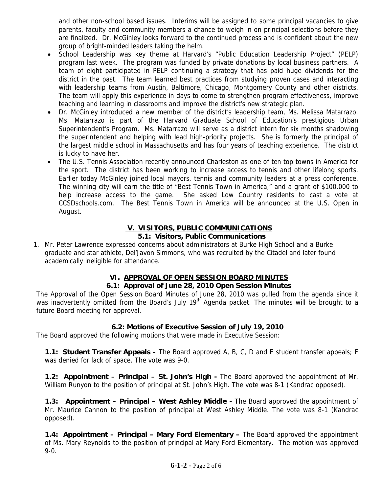and other non-school based issues. Interims will be assigned to some principal vacancies to give parents, faculty and community members a chance to weigh in on principal selections before they are finalized. Dr. McGinley looks forward to the continued process and is confident about the new group of bright-minded leaders taking the helm.

- School Leadership was key theme at Harvard's "Public Education Leadership Project" (PELP) program last week. The program was funded by private donations by local business partners. A team of eight participated in PELP continuing a strategy that has paid huge dividends for the district in the past. The team learned best practices from studying proven cases and interacting with leadership teams from Austin, Baltimore, Chicago, Montgomery County and other districts. The team will apply this experience in days to come to strengthen program effectiveness, improve teaching and learning in classrooms and improve the district's new strategic plan.
- Dr. McGinley introduced a new member of the district's leadership team, Ms. Melissa Matarrazo. Ms. Matarrazo is part of the Harvard Graduate School of Education's prestigious Urban Superintendent's Program. Ms. Matarrazo will serve as a district intern for six months shadowing the superintendent and helping with lead high-priority projects. She is formerly the principal of the largest middle school in Massachusetts and has four years of teaching experience. The district is lucky to have her.
- The U.S. Tennis Association recently announced Charleston as one of ten top towns in America for the sport. The district has been working to increase access to tennis and other lifelong sports. Earlier today McGinley joined local mayors, tennis and community leaders at a press conference. The winning city will earn the title of "Best Tennis Town in America," and a grant of \$100,000 to help increase access to the game. She asked Low Country residents to cast a vote at CCSDschools.com. The Best Tennis Town in America will be announced at the U.S. Open in August.

#### **V. VISITORS, PUBLIC COMMUNICATIONS 5.1: Visitors, Public Communications**

1. Mr. Peter Lawrence expressed concerns about administrators at Burke High School and a Burke graduate and star athlete, Del'Javon Simmons, who was recruited by the Citadel and later found academically ineligible for attendance.

## **VI. APPROVAL OF OPEN SESSION BOARD MINUTES**

#### **6.1: Approval of June 28, 2010 Open Session Minutes**

The Approval of the Open Session Board Minutes of June 28, 2010 was pulled from the agenda since it was inadvertently omitted from the Board's July 19<sup>th</sup> Agenda packet. The minutes will be brought to a future Board meeting for approval.

## **6.2: Motions of Executive Session of July 19, 2010**

The Board approved the following motions that were made in Executive Session:

**1.1: Student Transfer Appeals** – The Board approved A, B, C, D and E student transfer appeals; F was denied for lack of space. The vote was 9-0.

**1.2: Appointment – Principal – St. John's High - The Board approved the appointment of Mr.** William Runyon to the position of principal at St. John's High. The vote was 8-1 (Kandrac opposed).

**1.3: Appointment – Principal – West Ashley Middle - The Board approved the appointment of** Mr. Maurice Cannon to the position of principal at West Ashley Middle. The vote was 8-1 (Kandrac opposed).

**1.4: Appointment – Principal – Mary Ford Elementary –** The Board approved the appointment of Ms. Mary Reynolds to the position of principal at Mary Ford Elementary. The motion was approved 9-0.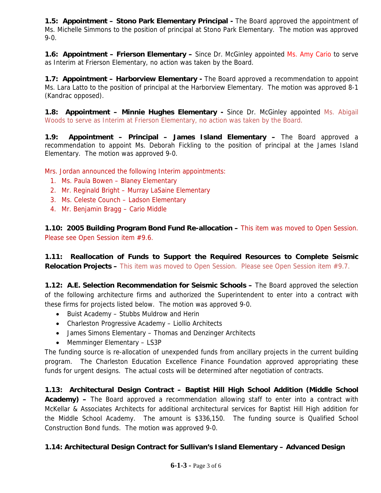**1.5: Appointment – Stono Park Elementary Principal -** The Board approved the appointment of Ms. Michelle Simmons to the position of principal at Stono Park Elementary. The motion was approved 9-0.

**1.6: Appointment – Frierson Elementary –** Since Dr. McGinley appointed Ms. Amy Cario to serve as Interim at Frierson Elementary, no action was taken by the Board.

**1.7: Appointment – Harborview Elementary -** The Board approved a recommendation to appoint Ms. Lara Latto to the position of principal at the Harborview Elementary. The motion was approved 8-1 (Kandrac opposed).

**1.8: Appointment – Minnie Hughes Elementary - Since Dr. McGinley appointed Ms. Abigail** Woods to serve as Interim at Frierson Elementary, no action was taken by the Board.

**1.9: Appointment – Principal – James Island Elementary –** The Board approved a recommendation to appoint Ms. Deborah Fickling to the position of principal at the James Island Elementary. The motion was approved 9-0.

Mrs. Jordan announced the following Interim appointments:

- 1. Ms. Paula Bowen Blaney Elementary
- 2. Mr. Reginald Bright Murray LaSaine Elementary
- 3. Ms. Celeste Counch Ladson Elementary
- 4. Mr. Benjamin Bragg Cario Middle

**1.10: 2005 Building Program Bond Fund Re-allocation – This item was moved to Open Session.** Please see Open Session item #9.6.

**1.11: Reallocation of Funds to Support the Required Resources to Complete Seismic Relocation Projects –** This item was moved to Open Session. Please see Open Session item #9.7.

**1.12: A.E. Selection Recommendation for Seismic Schools –** The Board approved the selection of the following architecture firms and authorized the Superintendent to enter into a contract with these firms for projects listed below. The motion was approved 9-0.

- Buist Academy Stubbs Muldrow and Herin
- Charleston Progressive Academy Liollio Architects
- James Simons Elementary Thomas and Denzinger Architects
- Memminger Elementary LS3P

The funding source is re-allocation of unexpended funds from ancillary projects in the current building program. The Charleston Education Excellence Finance Foundation approved appropriating these funds for urgent designs. The actual costs will be determined after negotiation of contracts.

**1.13: Architectural Design Contract – Baptist Hill High School Addition (Middle School Academy) –** The Board approved a recommendation allowing staff to enter into a contract with McKellar & Associates Architects for additional architectural services for Baptist Hill High addition for the Middle School Academy. The amount is \$336,150. The funding source is Qualified School Construction Bond funds. The motion was approved 9-0.

## **1.14: Architectural Design Contract for Sullivan's Island Elementary – Advanced Design**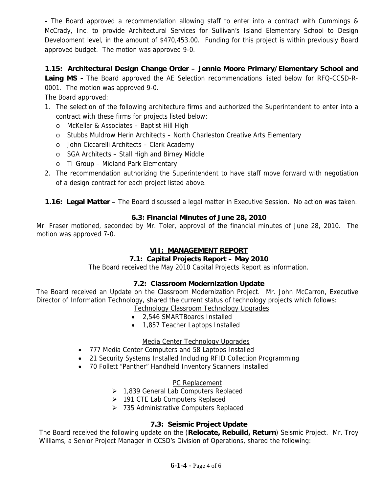**-** The Board approved a recommendation allowing staff to enter into a contract with Cummings & McCrady, Inc. to provide Architectural Services for Sullivan's Island Elementary School to Design Development level, in the amount of \$470,453.00. Funding for this project is within previously Board approved budget. The motion was approved 9-0.

## **1.15: Architectural Design Change Order – Jennie Moore Primary/Elementary School and**

Laing MS - The Board approved the AE Selection recommendations listed below for RFQ-CCSD-R-0001. The motion was approved 9-0.

The Board approved:

- 1. The selection of the following architecture firms and authorized the Superintendent to enter into a contract with these firms for projects listed below:
	- o McKellar & Associates Baptist Hill High
	- o Stubbs Muldrow Herin Architects North Charleston Creative Arts Elementary
	- o John Ciccarelli Architects Clark Academy
	- o SGA Architects Stall High and Birney Middle
	- o TI Group Midland Park Elementary
- 2. The recommendation authorizing the Superintendent to have staff move forward with negotiation of a design contract for each project listed above.
- **1.16: Legal Matter** The Board discussed a legal matter in Executive Session. No action was taken.

## **6.3: Financial Minutes of June 28, 2010**

Mr. Fraser motioned, seconded by Mr. Toler, approval of the financial minutes of June 28, 2010. The motion was approved 7-0.

## **VII: MANAGEMENT REPORT**

## **7.1: Capital Projects Report – May 2010**

The Board received the May 2010 Capital Projects Report as information.

## **7.2: Classroom Modernization Update**

The Board received an Update on the Classroom Modernization Project. Mr. John McCarron, Executive Director of Information Technology, shared the current status of technology projects which follows:

- Technology Classroom Technology Upgrades
- 2,546 SMARTBoards Installed
- 1,857 Teacher Laptops Installed

#### Media Center Technology Upgrades

- 777 Media Center Computers and 58 Laptops Installed
- 21 Security Systems Installed Including RFID Collection Programming
- 70 Follett "Panther" Handheld Inventory Scanners Installed

#### PC Replacement

- ¾ 1,839 General Lab Computers Replaced
- ¾ 191 CTE Lab Computers Replaced
- $\geq$  735 Administrative Computers Replaced

## **7.3: Seismic Project Update**

The Board received the following update on the (**Relocate, Rebuild, Return**) Seismic Project. Mr. Troy Williams, a Senior Project Manager in CCSD's Division of Operations, shared the following: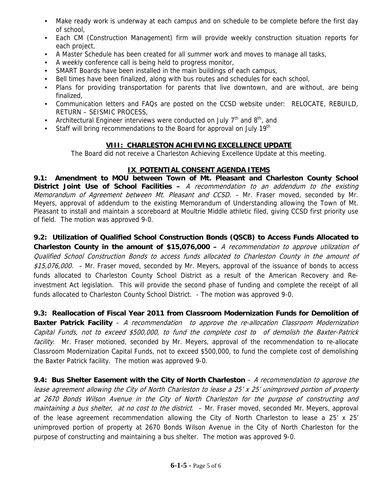- Make ready work is underway at each campus and on schedule to be complete before the first day of school,
- Each CM (Construction Management) firm will provide weekly construction situation reports for each project,
- A Master Schedule has been created for all summer work and moves to manage all tasks,
- A weekly conference call is being held to progress monitor,
- SMART Boards have been installed in the main buildings of each campus,
- Bell times have been finalized, along with bus routes and schedules for each school,
- Plans for providing transportation for parents that live downtown, and are without, are being finalized,
- Communication letters and FAQs are posted on the CCSD website under: RELOCATE, REBUILD, RETURN – SEISMIC PROCESS,
- Architectural Engineer interviews were conducted on July  $7<sup>th</sup>$  and  $8<sup>th</sup>$ , and
- Staff will bring recommendations to the Board for approval on July 19<sup>th</sup>

## **VIII: CHARLESTON ACHIEVING EXCELLENCE UPDATE**

The Board did not receive a Charleston Achieving Excellence Update at this meeting.

## **IX**. **POTENTIAL CONSENT AGENDA ITEMS**

**9.1: Amendment to MOU between Town of Mt. Pleasant and Charleston County School District Joint Use of School Facilities –** A recommendation to an addendum to the existing Memorandum of Agreement between Mt. Pleasant and CCSD. - Mr. Fraser moved, seconded by Mr. Meyers, approval of addendum to the existing Memorandum of Understanding allowing the Town of Mt. Pleasant to install and maintain a scoreboard at Moultrie Middle athletic filed, giving CCSD first priority use of field. The motion was approved 9-0.

**9.2: Utilization of Qualified School Construction Bonds (QSCB) to Access Funds Allocated to Charleston County in the amount of \$15,076,000 –** A recommendation to approve utilization of Qualified School Construction Bonds to access funds allocated to Charleston County in the amount of \$15,076,000. – Mr. Fraser moved, seconded by Mr. Meyers, approval of the issuance of bonds to access funds allocated to Charleston County School District as a result of the American Recovery and Reinvestment Act legislation. This will provide the second phase of funding and complete the receipt of all funds allocated to Charleston County School District. - The motion was approved 9-0.

## **9.3: Reallocation of Fiscal Year 2011 from Classroom Modernization Funds for Demolition of**

**Baxter Patrick Facility** – A recommendation to approve the re-allocation Classroom Modernization Capital Funds, not to exceed \$500,000, to fund the complete cost to of demolish the Baxter-Patrick facility. Mr. Fraser motioned, seconded by Mr. Meyers, approval of the recommendation to re-allocate Classroom Modernization Capital Funds, not to exceed \$500,000, to fund the complete cost of demolishing the Baxter Patrick facility. The motion was approved 9-0.

**9.4: Bus Shelter Easement with the City of North Charleston** – A recommendation to approve the lease agreement allowing the City of North Charleston to lease a 25' x 25' unimproved portion of property at 2670 Bonds Wilson Avenue in the City of North Charleston for the purpose of constructing and maintaining a bus shelter, at no cost to the district. – Mr. Fraser moved, seconded Mr. Meyers, approval of the lease agreement recommendation allowing the City of North Charleston to lease a 25' x 25' unimproved portion of property at 2670 Bonds Wilson Avenue in the City of North Charleston for the purpose of constructing and maintaining a bus shelter. The motion was approved 9-0.